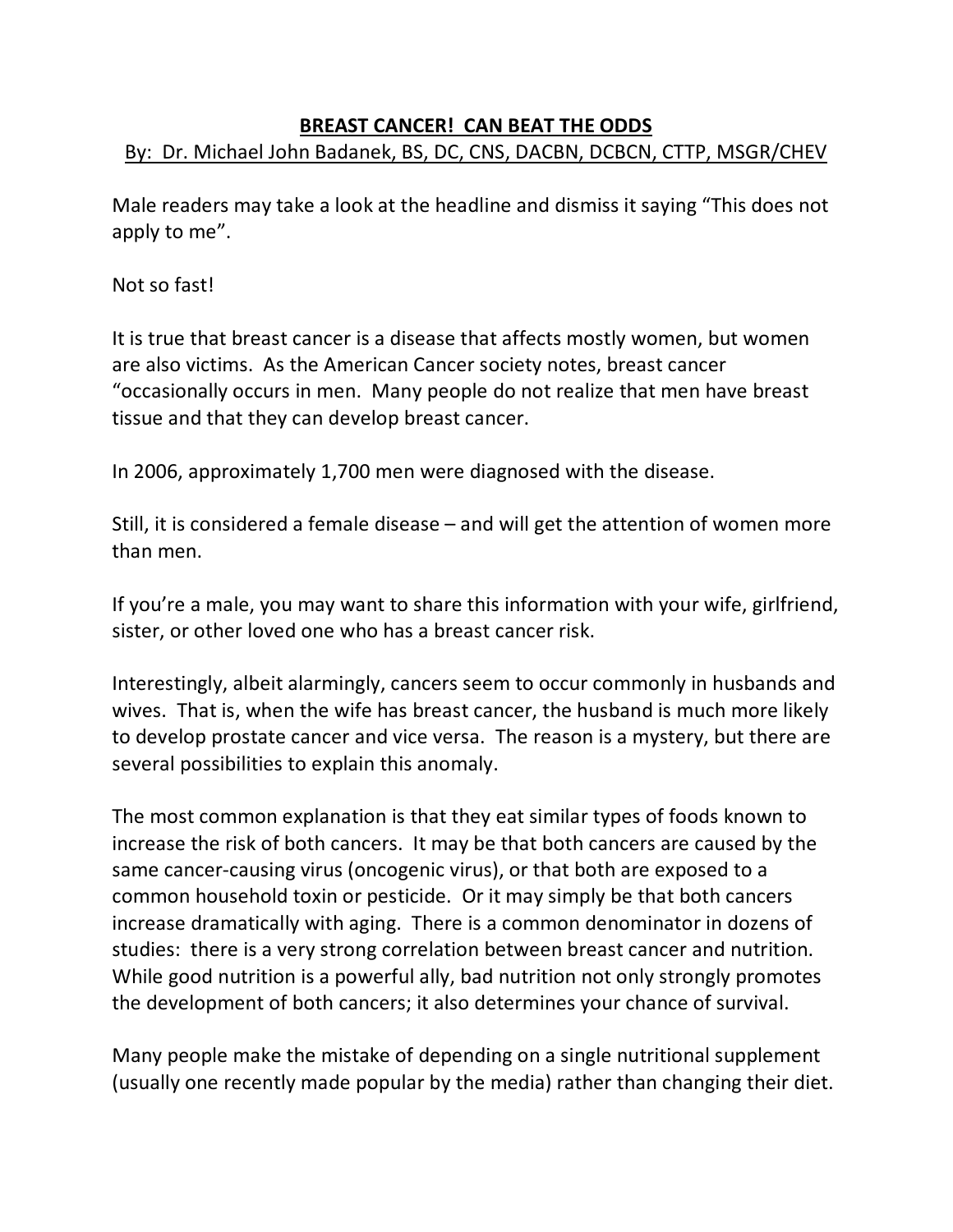# **BREAST CANCER! CAN BEAT THE ODDS** By: Dr. Michael John Badanek, BS, DC, CNS, DACBN, DCBCN, CTTP, MSGR/CHEV

Male readers may take a look at the headline and dismiss it saying "This does not apply to me".

#### Not so fast!

It is true that breast cancer is a disease that affects mostly women, but women are also victims. As the American Cancer society notes, breast cancer "occasionally occurs in men. Many people do not realize that men have breast tissue and that they can develop breast cancer.

In 2006, approximately 1,700 men were diagnosed with the disease.

Still, it is considered a female disease – and will get the attention of women more than men.

If you're a male, you may want to share this information with your wife, girlfriend, sister, or other loved one who has a breast cancer risk.

Interestingly, albeit alarmingly, cancers seem to occur commonly in husbands and wives. That is, when the wife has breast cancer, the husband is much more likely to develop prostate cancer and vice versa. The reason is a mystery, but there are several possibilities to explain this anomaly.

The most common explanation is that they eat similar types of foods known to increase the risk of both cancers. It may be that both cancers are caused by the same cancer-causing virus (oncogenic virus), or that both are exposed to a common household toxin or pesticide. Or it may simply be that both cancers increase dramatically with aging. There is a common denominator in dozens of studies: there is a very strong correlation between breast cancer and nutrition. While good nutrition is a powerful ally, bad nutrition not only strongly promotes the development of both cancers; it also determines your chance of survival.

Many people make the mistake of depending on a single nutritional supplement (usually one recently made popular by the media) rather than changing their diet.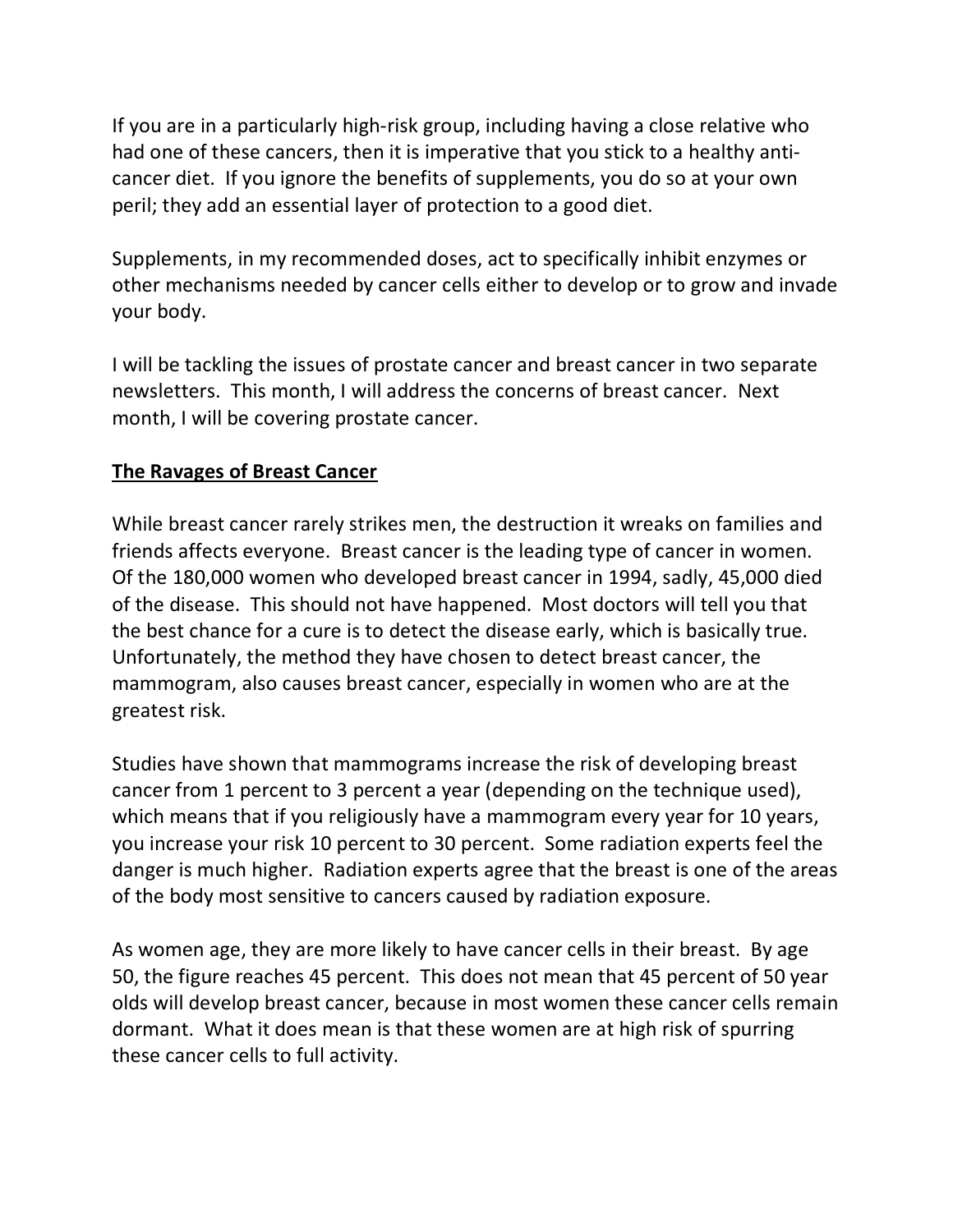If you are in a particularly high-risk group, including having a close relative who had one of these cancers, then it is imperative that you stick to a healthy anticancer diet. If you ignore the benefits of supplements, you do so at your own peril; they add an essential layer of protection to a good diet.

Supplements, in my recommended doses, act to specifically inhibit enzymes or other mechanisms needed by cancer cells either to develop or to grow and invade your body.

I will be tackling the issues of prostate cancer and breast cancer in two separate newsletters. This month, I will address the concerns of breast cancer. Next month, I will be covering prostate cancer.

### **The Ravages of Breast Cancer**

While breast cancer rarely strikes men, the destruction it wreaks on families and friends affects everyone. Breast cancer is the leading type of cancer in women. Of the 180,000 women who developed breast cancer in 1994, sadly, 45,000 died of the disease. This should not have happened. Most doctors will tell you that the best chance for a cure is to detect the disease early, which is basically true. Unfortunately, the method they have chosen to detect breast cancer, the mammogram, also causes breast cancer, especially in women who are at the greatest risk.

Studies have shown that mammograms increase the risk of developing breast cancer from 1 percent to 3 percent a year (depending on the technique used), which means that if you religiously have a mammogram every year for 10 years, you increase your risk 10 percent to 30 percent. Some radiation experts feel the danger is much higher. Radiation experts agree that the breast is one of the areas of the body most sensitive to cancers caused by radiation exposure.

As women age, they are more likely to have cancer cells in their breast. By age 50, the figure reaches 45 percent. This does not mean that 45 percent of 50 year olds will develop breast cancer, because in most women these cancer cells remain dormant. What it does mean is that these women are at high risk of spurring these cancer cells to full activity.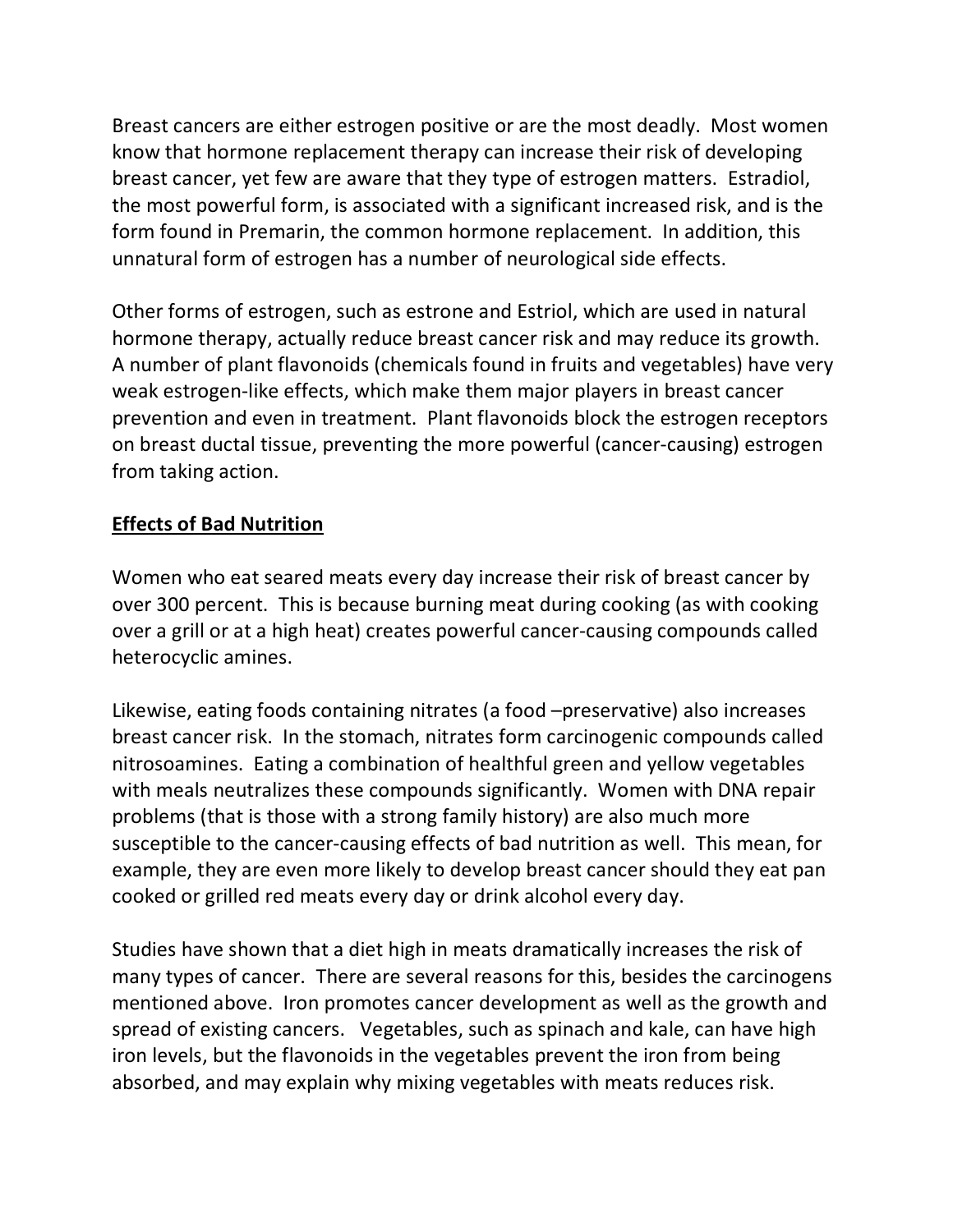Breast cancers are either estrogen positive or are the most deadly. Most women know that hormone replacement therapy can increase their risk of developing breast cancer, yet few are aware that they type of estrogen matters. Estradiol, the most powerful form, is associated with a significant increased risk, and is the form found in Premarin, the common hormone replacement. In addition, this unnatural form of estrogen has a number of neurological side effects.

Other forms of estrogen, such as estrone and Estriol, which are used in natural hormone therapy, actually reduce breast cancer risk and may reduce its growth. A number of plant flavonoids (chemicals found in fruits and vegetables) have very weak estrogen-like effects, which make them major players in breast cancer prevention and even in treatment. Plant flavonoids block the estrogen receptors on breast ductal tissue, preventing the more powerful (cancer-causing) estrogen from taking action.

# **Effects of Bad Nutrition**

Women who eat seared meats every day increase their risk of breast cancer by over 300 percent. This is because burning meat during cooking (as with cooking over a grill or at a high heat) creates powerful cancer-causing compounds called heterocyclic amines.

Likewise, eating foods containing nitrates (a food –preservative) also increases breast cancer risk. In the stomach, nitrates form carcinogenic compounds called nitrosoamines. Eating a combination of healthful green and yellow vegetables with meals neutralizes these compounds significantly. Women with DNA repair problems (that is those with a strong family history) are also much more susceptible to the cancer-causing effects of bad nutrition as well. This mean, for example, they are even more likely to develop breast cancer should they eat pan cooked or grilled red meats every day or drink alcohol every day.

Studies have shown that a diet high in meats dramatically increases the risk of many types of cancer. There are several reasons for this, besides the carcinogens mentioned above. Iron promotes cancer development as well as the growth and spread of existing cancers. Vegetables, such as spinach and kale, can have high iron levels, but the flavonoids in the vegetables prevent the iron from being absorbed, and may explain why mixing vegetables with meats reduces risk.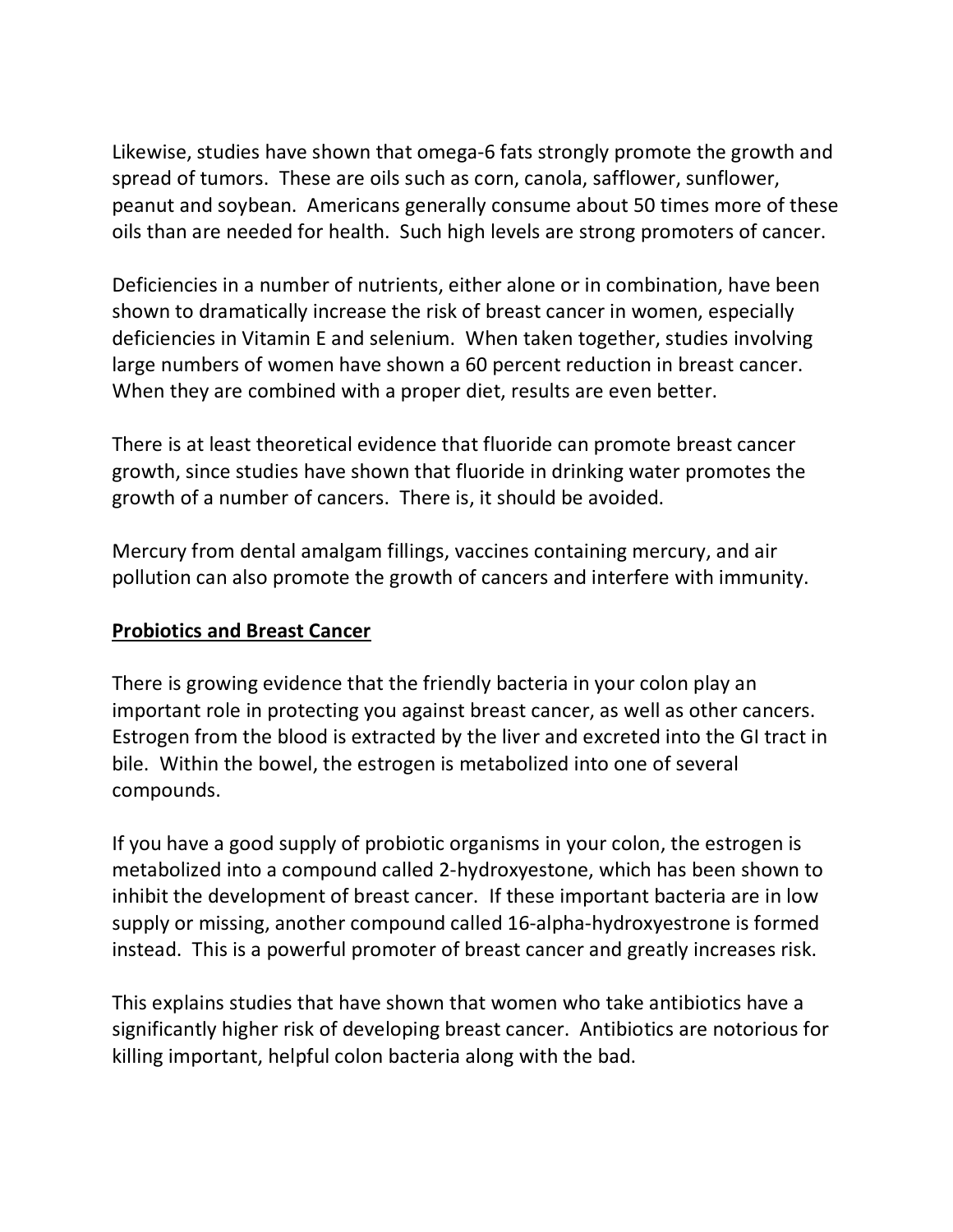Likewise, studies have shown that omega-6 fats strongly promote the growth and spread of tumors. These are oils such as corn, canola, safflower, sunflower, peanut and soybean. Americans generally consume about 50 times more of these oils than are needed for health. Such high levels are strong promoters of cancer.

Deficiencies in a number of nutrients, either alone or in combination, have been shown to dramatically increase the risk of breast cancer in women, especially deficiencies in Vitamin E and selenium. When taken together, studies involving large numbers of women have shown a 60 percent reduction in breast cancer. When they are combined with a proper diet, results are even better.

There is at least theoretical evidence that fluoride can promote breast cancer growth, since studies have shown that fluoride in drinking water promotes the growth of a number of cancers. There is, it should be avoided.

Mercury from dental amalgam fillings, vaccines containing mercury, and air pollution can also promote the growth of cancers and interfere with immunity.

### **Probiotics and Breast Cancer**

There is growing evidence that the friendly bacteria in your colon play an important role in protecting you against breast cancer, as well as other cancers. Estrogen from the blood is extracted by the liver and excreted into the GI tract in bile. Within the bowel, the estrogen is metabolized into one of several compounds.

If you have a good supply of probiotic organisms in your colon, the estrogen is metabolized into a compound called 2-hydroxyestone, which has been shown to inhibit the development of breast cancer. If these important bacteria are in low supply or missing, another compound called 16-alpha-hydroxyestrone is formed instead. This is a powerful promoter of breast cancer and greatly increases risk.

This explains studies that have shown that women who take antibiotics have a significantly higher risk of developing breast cancer. Antibiotics are notorious for killing important, helpful colon bacteria along with the bad.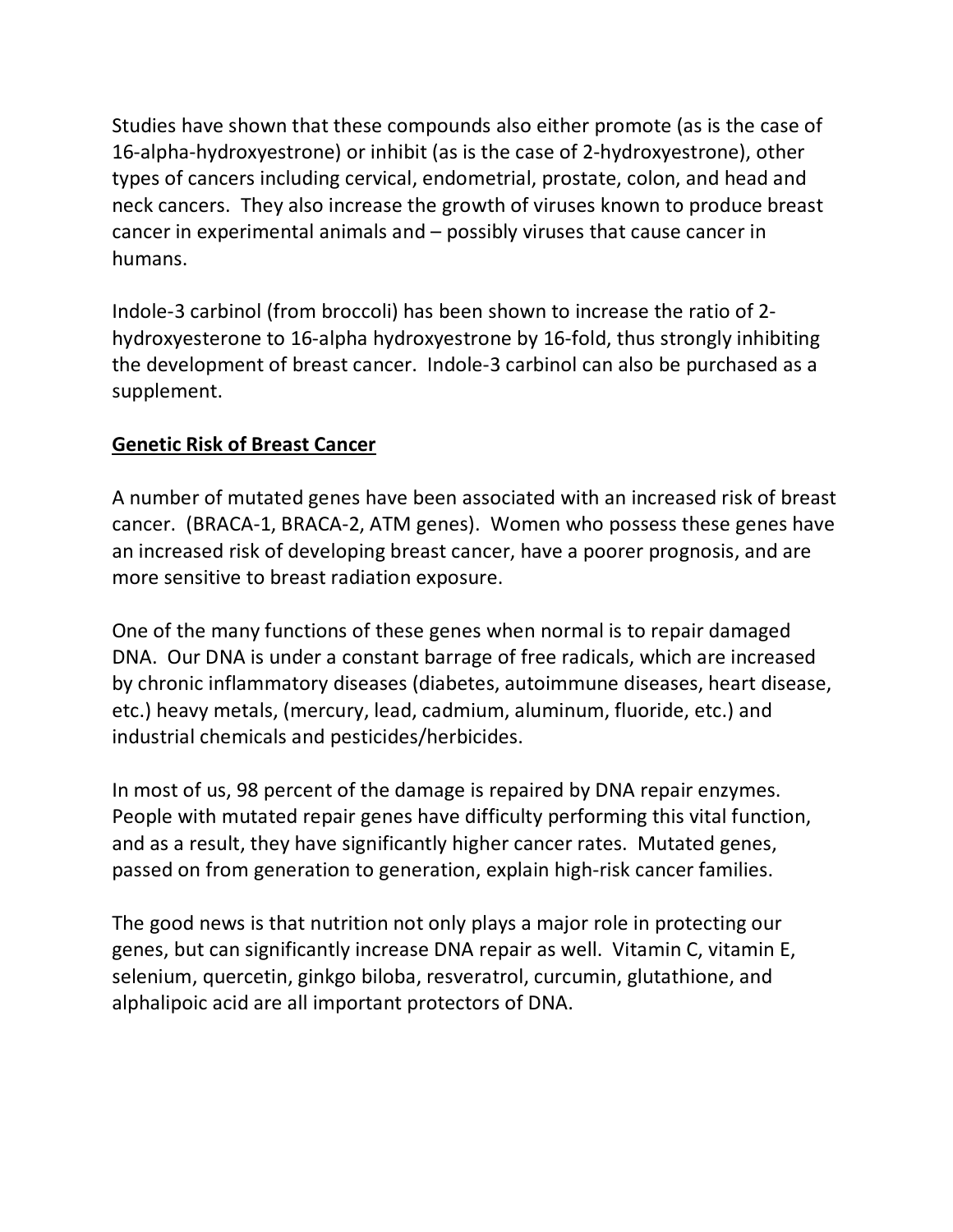Studies have shown that these compounds also either promote (as is the case of 16-alpha-hydroxyestrone) or inhibit (as is the case of 2-hydroxyestrone), other types of cancers including cervical, endometrial, prostate, colon, and head and neck cancers. They also increase the growth of viruses known to produce breast cancer in experimental animals and – possibly viruses that cause cancer in humans.

Indole-3 carbinol (from broccoli) has been shown to increase the ratio of 2 hydroxyesterone to 16-alpha hydroxyestrone by 16-fold, thus strongly inhibiting the development of breast cancer. Indole-3 carbinol can also be purchased as a supplement.

### **Genetic Risk of Breast Cancer**

A number of mutated genes have been associated with an increased risk of breast cancer. (BRACA-1, BRACA-2, ATM genes). Women who possess these genes have an increased risk of developing breast cancer, have a poorer prognosis, and are more sensitive to breast radiation exposure.

One of the many functions of these genes when normal is to repair damaged DNA. Our DNA is under a constant barrage of free radicals, which are increased by chronic inflammatory diseases (diabetes, autoimmune diseases, heart disease, etc.) heavy metals, (mercury, lead, cadmium, aluminum, fluoride, etc.) and industrial chemicals and pesticides/herbicides.

In most of us, 98 percent of the damage is repaired by DNA repair enzymes. People with mutated repair genes have difficulty performing this vital function, and as a result, they have significantly higher cancer rates. Mutated genes, passed on from generation to generation, explain high-risk cancer families.

The good news is that nutrition not only plays a major role in protecting our genes, but can significantly increase DNA repair as well. Vitamin C, vitamin E, selenium, quercetin, ginkgo biloba, resveratrol, curcumin, glutathione, and alphalipoic acid are all important protectors of DNA.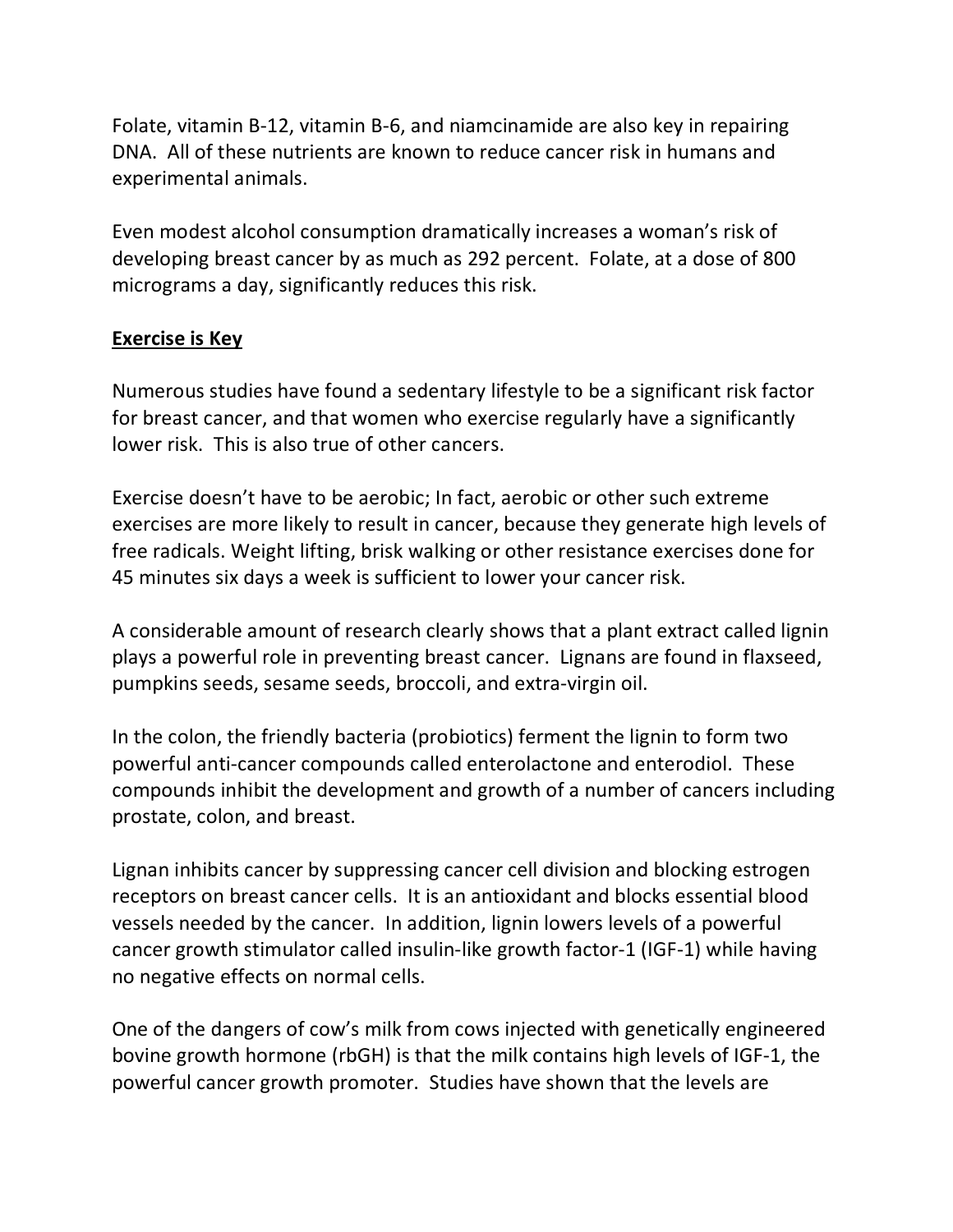Folate, vitamin B-12, vitamin B-6, and niamcinamide are also key in repairing DNA. All of these nutrients are known to reduce cancer risk in humans and experimental animals.

Even modest alcohol consumption dramatically increases a woman's risk of developing breast cancer by as much as 292 percent. Folate, at a dose of 800 micrograms a day, significantly reduces this risk.

### **Exercise is Key**

Numerous studies have found a sedentary lifestyle to be a significant risk factor for breast cancer, and that women who exercise regularly have a significantly lower risk. This is also true of other cancers.

Exercise doesn't have to be aerobic; In fact, aerobic or other such extreme exercises are more likely to result in cancer, because they generate high levels of free radicals. Weight lifting, brisk walking or other resistance exercises done for 45 minutes six days a week is sufficient to lower your cancer risk.

A considerable amount of research clearly shows that a plant extract called lignin plays a powerful role in preventing breast cancer. Lignans are found in flaxseed, pumpkins seeds, sesame seeds, broccoli, and extra-virgin oil.

In the colon, the friendly bacteria (probiotics) ferment the lignin to form two powerful anti-cancer compounds called enterolactone and enterodiol. These compounds inhibit the development and growth of a number of cancers including prostate, colon, and breast.

Lignan inhibits cancer by suppressing cancer cell division and blocking estrogen receptors on breast cancer cells. It is an antioxidant and blocks essential blood vessels needed by the cancer. In addition, lignin lowers levels of a powerful cancer growth stimulator called insulin-like growth factor-1 (IGF-1) while having no negative effects on normal cells.

One of the dangers of cow's milk from cows injected with genetically engineered bovine growth hormone (rbGH) is that the milk contains high levels of IGF-1, the powerful cancer growth promoter. Studies have shown that the levels are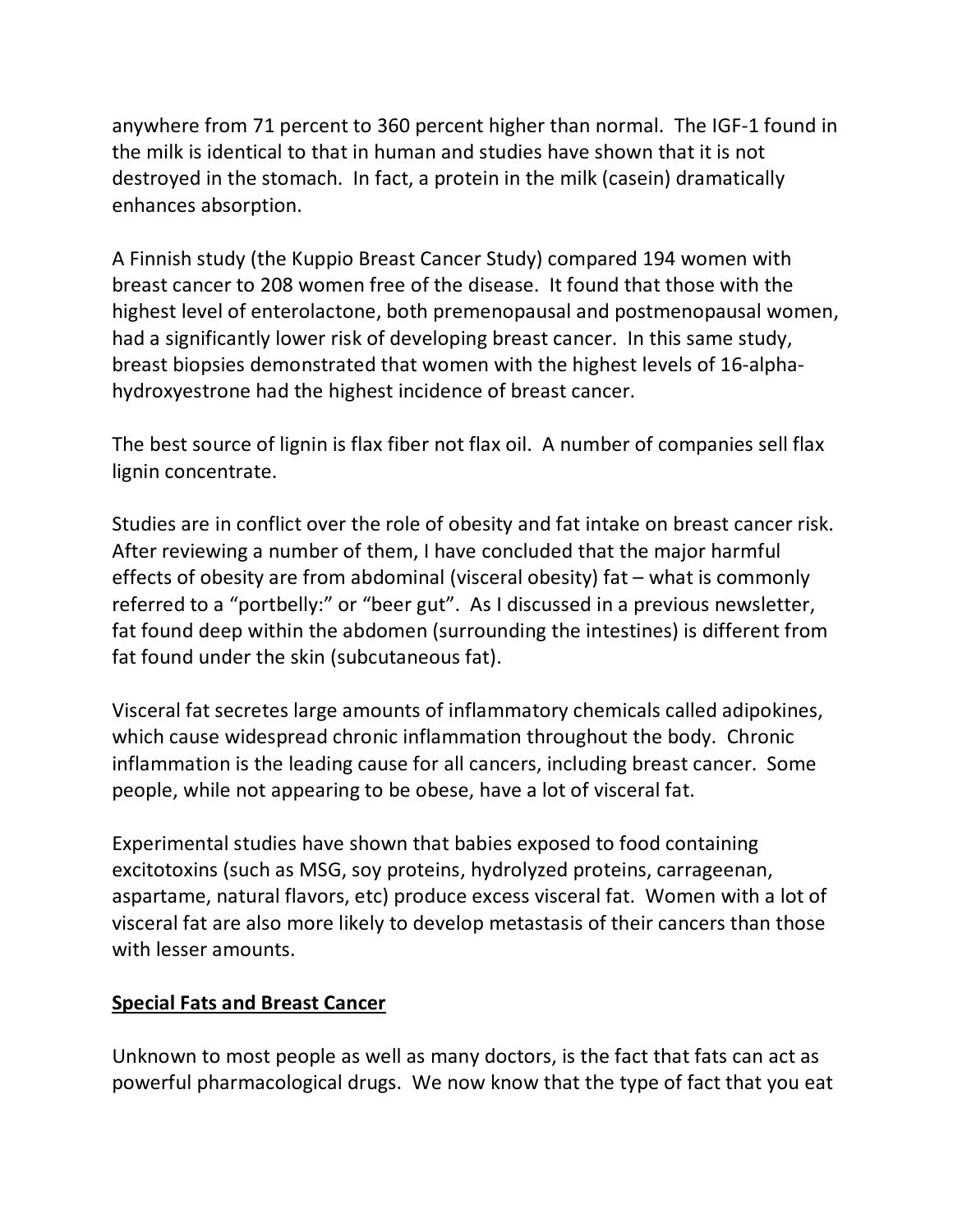anywhere from 71 percent to 360 percent higher than normal. The IGF-1 found in the milk is identical to that in human and studies have shown that it is not destroyed in the stomach. In fact, a protein in the milk (casein) dramatically enhances absorption.

A Finnish study (the Kuppio Breast Cancer Study) compared 194 women with breast cancer to 208 women free of the disease. It found that those with the highest level of enterolactone, both premenopausal and postmenopausal women, had a significantly lower risk of developing breast cancer. In this same study, breast biopsies demonstrated that women with the highest levels of 16-alphahydroxyestrone had the highest incidence of breast cancer.

The best source of lignin is flax fiber not flax oil. A number of companies sell flax lignin concentrate.

Studies are in conflict over the role of obesity and fat intake on breast cancer risk. After reviewing a number of them, I have concluded that the major harmful effects of obesity are from abdominal (visceral obesity) fat – what is commonly referred to a "portbelly:" or "beer gut". As I discussed in a previous newsletter, fat found deep within the abdomen (surrounding the intestines) is different from fat found under the skin (subcutaneous fat).

Visceral fat secretes large amounts of inflammatory chemicals called adipokines, which cause widespread chronic inflammation throughout the body. Chronic inflammation is the leading cause for all cancers, including breast cancer. Some people, while not appearing to be obese, have a lot of visceral fat.

Experimental studies have shown that babies exposed to food containing excitotoxins (such as MSG, soy proteins, hydrolyzed proteins, carrageenan, aspartame, natural flavors, etc) produce excess visceral fat. Women with a lot of visceral fat are also more likely to develop metastasis of their cancers than those with lesser amounts.

### **Special Fats and Breast Cancer**

Unknown to most people as well as many doctors, is the fact that fats can act as powerful pharmacological drugs. We now know that the type of fact that you eat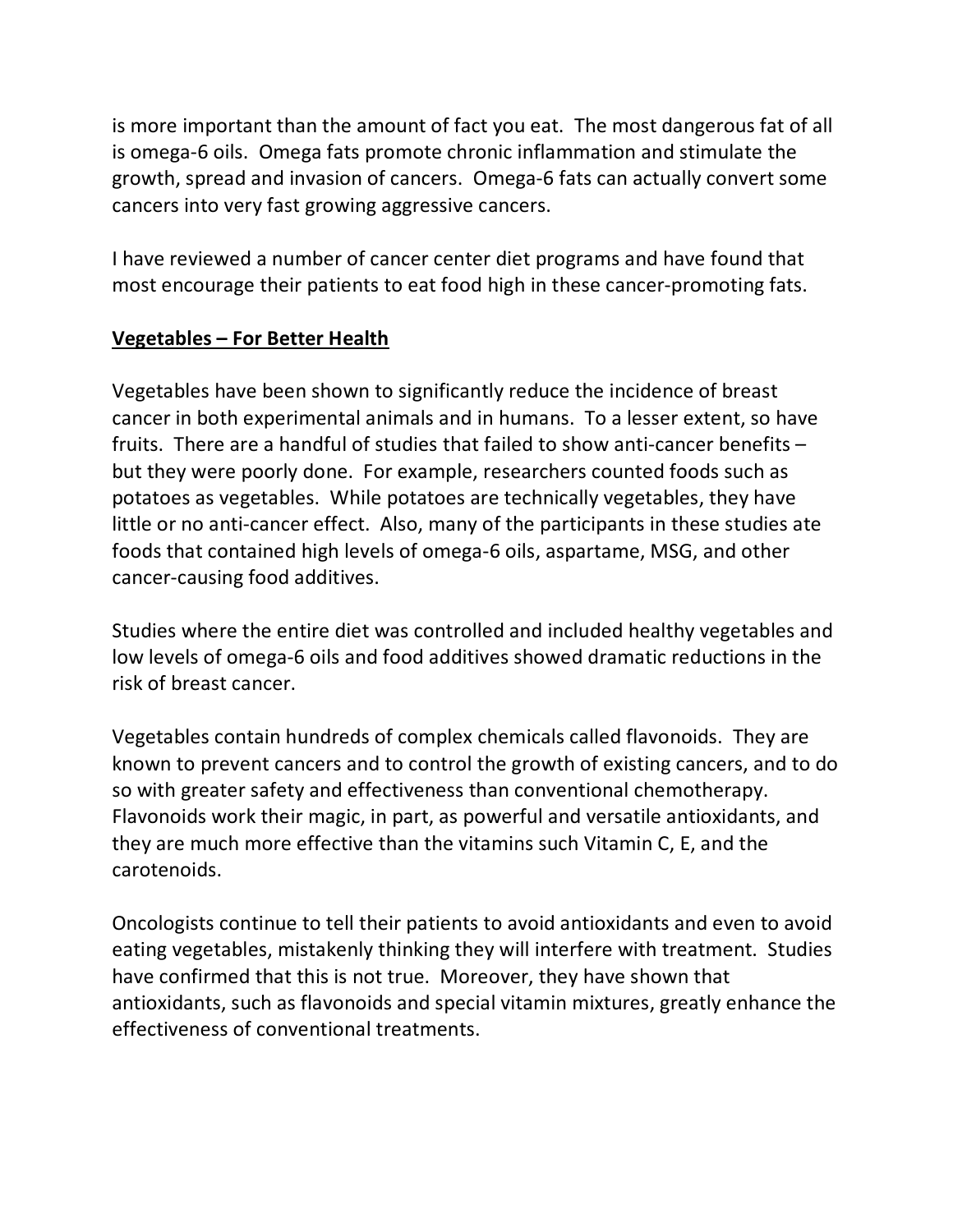is more important than the amount of fact you eat. The most dangerous fat of all is omega-6 oils. Omega fats promote chronic inflammation and stimulate the growth, spread and invasion of cancers. Omega-6 fats can actually convert some cancers into very fast growing aggressive cancers.

I have reviewed a number of cancer center diet programs and have found that most encourage their patients to eat food high in these cancer-promoting fats.

# **Vegetables – For Better Health**

Vegetables have been shown to significantly reduce the incidence of breast cancer in both experimental animals and in humans. To a lesser extent, so have fruits. There are a handful of studies that failed to show anti-cancer benefits – but they were poorly done. For example, researchers counted foods such as potatoes as vegetables. While potatoes are technically vegetables, they have little or no anti-cancer effect. Also, many of the participants in these studies ate foods that contained high levels of omega-6 oils, aspartame, MSG, and other cancer-causing food additives.

Studies where the entire diet was controlled and included healthy vegetables and low levels of omega-6 oils and food additives showed dramatic reductions in the risk of breast cancer.

Vegetables contain hundreds of complex chemicals called flavonoids. They are known to prevent cancers and to control the growth of existing cancers, and to do so with greater safety and effectiveness than conventional chemotherapy. Flavonoids work their magic, in part, as powerful and versatile antioxidants, and they are much more effective than the vitamins such Vitamin C, E, and the carotenoids.

Oncologists continue to tell their patients to avoid antioxidants and even to avoid eating vegetables, mistakenly thinking they will interfere with treatment. Studies have confirmed that this is not true. Moreover, they have shown that antioxidants, such as flavonoids and special vitamin mixtures, greatly enhance the effectiveness of conventional treatments.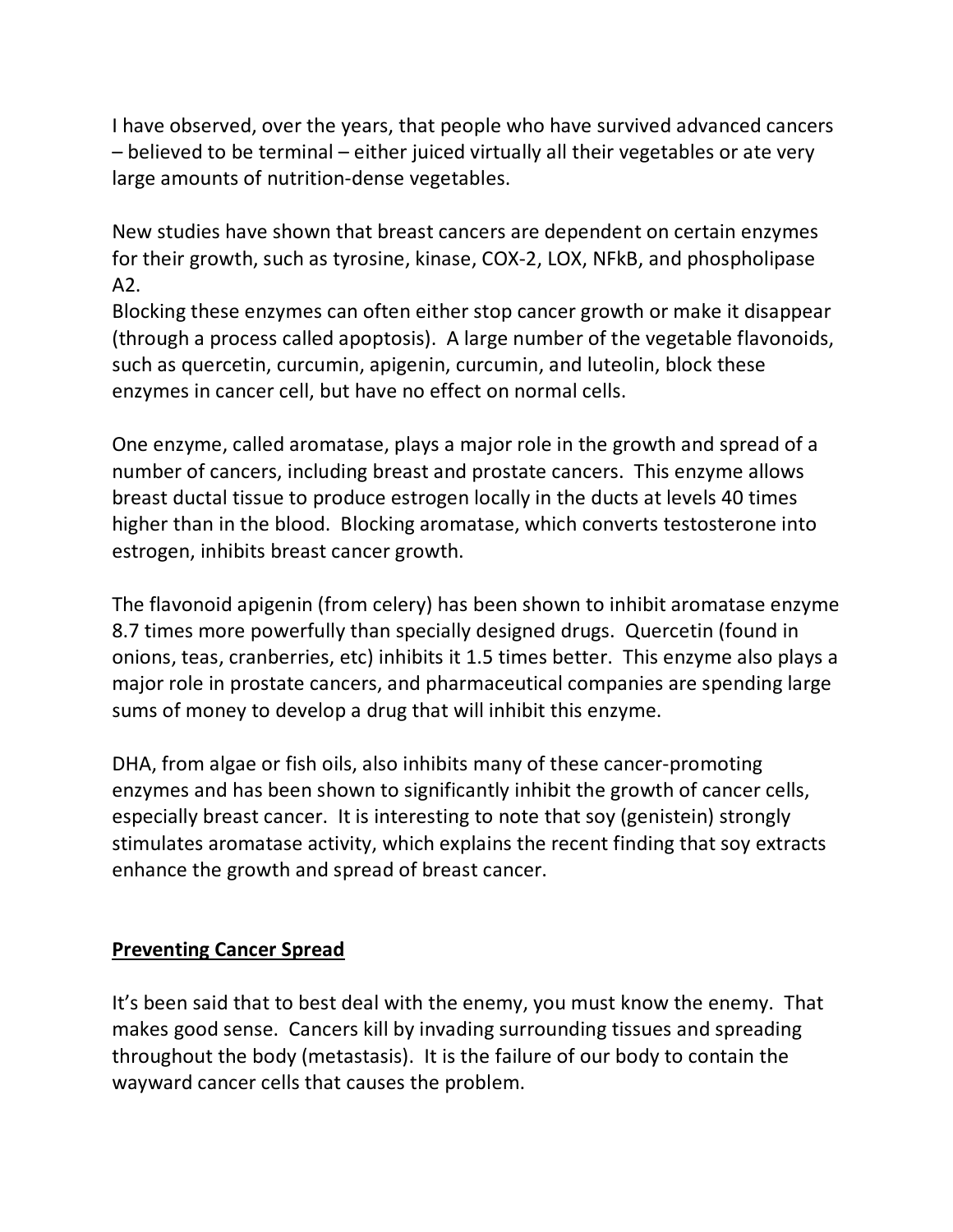I have observed, over the years, that people who have survived advanced cancers – believed to be terminal – either juiced virtually all their vegetables or ate very large amounts of nutrition-dense vegetables.

New studies have shown that breast cancers are dependent on certain enzymes for their growth, such as tyrosine, kinase, COX-2, LOX, NFkB, and phospholipase A2.

Blocking these enzymes can often either stop cancer growth or make it disappear (through a process called apoptosis). A large number of the vegetable flavonoids, such as quercetin, curcumin, apigenin, curcumin, and luteolin, block these enzymes in cancer cell, but have no effect on normal cells.

One enzyme, called aromatase, plays a major role in the growth and spread of a number of cancers, including breast and prostate cancers. This enzyme allows breast ductal tissue to produce estrogen locally in the ducts at levels 40 times higher than in the blood. Blocking aromatase, which converts testosterone into estrogen, inhibits breast cancer growth.

The flavonoid apigenin (from celery) has been shown to inhibit aromatase enzyme 8.7 times more powerfully than specially designed drugs. Quercetin (found in onions, teas, cranberries, etc) inhibits it 1.5 times better. This enzyme also plays a major role in prostate cancers, and pharmaceutical companies are spending large sums of money to develop a drug that will inhibit this enzyme.

DHA, from algae or fish oils, also inhibits many of these cancer-promoting enzymes and has been shown to significantly inhibit the growth of cancer cells, especially breast cancer. It is interesting to note that soy (genistein) strongly stimulates aromatase activity, which explains the recent finding that soy extracts enhance the growth and spread of breast cancer.

### **Preventing Cancer Spread**

It's been said that to best deal with the enemy, you must know the enemy. That makes good sense. Cancers kill by invading surrounding tissues and spreading throughout the body (metastasis). It is the failure of our body to contain the wayward cancer cells that causes the problem.